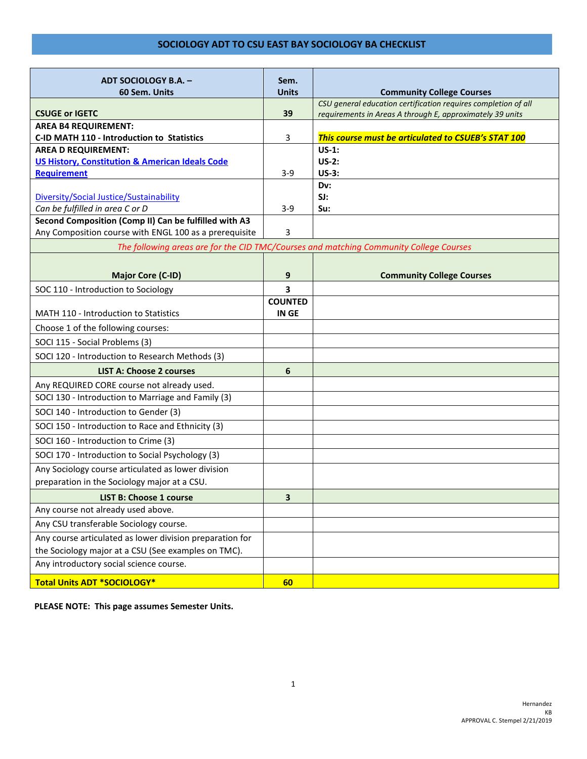| ADT SOCIOLOGY B.A. -<br>60 Sem. Units                      | Sem.<br><b>Units</b>    | <b>Community College Courses</b>                                                       |
|------------------------------------------------------------|-------------------------|----------------------------------------------------------------------------------------|
|                                                            |                         | CSU general education certification requires completion of all                         |
| <b>CSUGE or IGETC</b>                                      | 39                      | requirements in Areas A through E, approximately 39 units                              |
| <b>AREA B4 REQUIREMENT:</b>                                |                         |                                                                                        |
| C-ID MATH 110 - Introduction to Statistics                 | 3                       | This course must be articulated to CSUEB's STAT 100                                    |
| <b>AREA D REQUIREMENT:</b>                                 |                         | $US-1:$                                                                                |
| <b>US History, Constitution &amp; American Ideals Code</b> |                         | $US-2:$<br>$US-3:$                                                                     |
| <b>Requirement</b>                                         | $3-9$                   | Dv:                                                                                    |
| Diversity/Social Justice/Sustainability                    |                         | SI:                                                                                    |
| Can be fulfilled in area C or D                            | $3-9$                   | Su:                                                                                    |
| Second Composition (Comp II) Can be fulfilled with A3      |                         |                                                                                        |
| Any Composition course with ENGL 100 as a prerequisite     | 3                       |                                                                                        |
|                                                            |                         | The following areas are for the CID TMC/Courses and matching Community College Courses |
|                                                            |                         |                                                                                        |
| <b>Major Core (C-ID)</b>                                   | 9                       | <b>Community College Courses</b>                                                       |
| SOC 110 - Introduction to Sociology                        | 3                       |                                                                                        |
| MATH 110 - Introduction to Statistics                      | <b>COUNTED</b><br>IN GE |                                                                                        |
| Choose 1 of the following courses:                         |                         |                                                                                        |
| SOCI 115 - Social Problems (3)                             |                         |                                                                                        |
| SOCI 120 - Introduction to Research Methods (3)            |                         |                                                                                        |
| <b>LIST A: Choose 2 courses</b>                            | 6                       |                                                                                        |
| Any REQUIRED CORE course not already used.                 |                         |                                                                                        |
| SOCI 130 - Introduction to Marriage and Family (3)         |                         |                                                                                        |
| SOCI 140 - Introduction to Gender (3)                      |                         |                                                                                        |
| SOCI 150 - Introduction to Race and Ethnicity (3)          |                         |                                                                                        |
| SOCI 160 - Introduction to Crime (3)                       |                         |                                                                                        |
| SOCI 170 - Introduction to Social Psychology (3)           |                         |                                                                                        |
| Any Sociology course articulated as lower division         |                         |                                                                                        |
| preparation in the Sociology major at a CSU.               |                         |                                                                                        |
| <b>LIST B: Choose 1 course</b>                             | 3                       |                                                                                        |
| Any course not already used above.                         |                         |                                                                                        |
| Any CSU transferable Sociology course.                     |                         |                                                                                        |
| Any course articulated as lower division preparation for   |                         |                                                                                        |
| the Sociology major at a CSU (See examples on TMC).        |                         |                                                                                        |
| Any introductory social science course.                    |                         |                                                                                        |
| <b>Total Units ADT *SOCIOLOGY*</b>                         | 60                      |                                                                                        |

**PLEASE NOTE: This page assumes Semester Units.**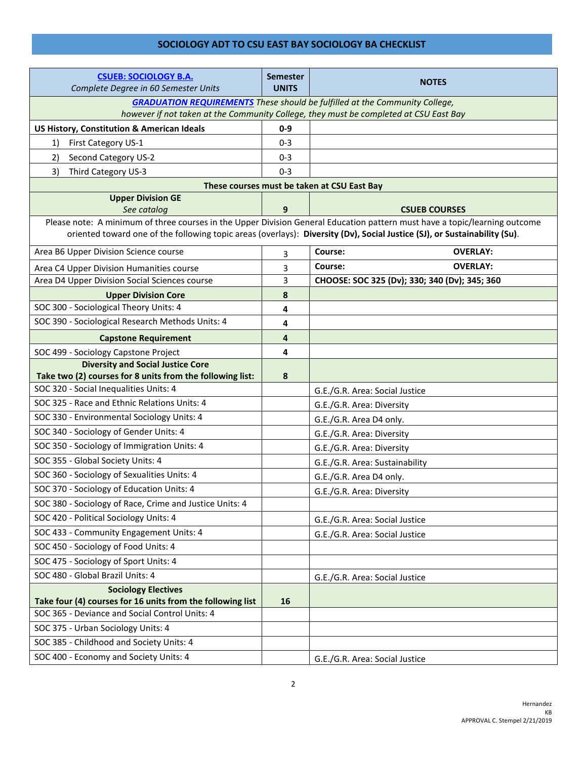| <b>CSUEB: SOCIOLOGY B.A.</b><br>Complete Degree in 60 Semester Units                                                                                                                                                                                    | <b>Semester</b><br><b>UNITS</b> | <b>NOTES</b>                                                                          |  |  |
|---------------------------------------------------------------------------------------------------------------------------------------------------------------------------------------------------------------------------------------------------------|---------------------------------|---------------------------------------------------------------------------------------|--|--|
|                                                                                                                                                                                                                                                         |                                 | <b>GRADUATION REQUIREMENTS</b> These should be fulfilled at the Community College,    |  |  |
|                                                                                                                                                                                                                                                         |                                 | however if not taken at the Community College, they must be completed at CSU East Bay |  |  |
| US History, Constitution & American Ideals                                                                                                                                                                                                              | $0 - 9$                         |                                                                                       |  |  |
| First Category US-1<br>1)                                                                                                                                                                                                                               | $0 - 3$                         |                                                                                       |  |  |
| Second Category US-2<br>2)                                                                                                                                                                                                                              | $0 - 3$                         |                                                                                       |  |  |
| Third Category US-3<br>3)                                                                                                                                                                                                                               | $0 - 3$                         |                                                                                       |  |  |
|                                                                                                                                                                                                                                                         |                                 | These courses must be taken at CSU East Bay                                           |  |  |
| <b>Upper Division GE</b>                                                                                                                                                                                                                                |                                 |                                                                                       |  |  |
| See catalog                                                                                                                                                                                                                                             | 9                               | <b>CSUEB COURSES</b>                                                                  |  |  |
| Please note: A minimum of three courses in the Upper Division General Education pattern must have a topic/learning outcome<br>oriented toward one of the following topic areas (overlays): Diversity (Dv), Social Justice (SJ), or Sustainability (Su). |                                 |                                                                                       |  |  |
| Area B6 Upper Division Science course                                                                                                                                                                                                                   | 3                               | Course:<br><b>OVERLAY:</b>                                                            |  |  |
| Area C4 Upper Division Humanities course                                                                                                                                                                                                                | 3                               | Course:<br><b>OVERLAY:</b>                                                            |  |  |
| Area D4 Upper Division Social Sciences course                                                                                                                                                                                                           | 3                               | CHOOSE: SOC 325 (Dv); 330; 340 (Dv); 345; 360                                         |  |  |
| <b>Upper Division Core</b>                                                                                                                                                                                                                              | 8                               |                                                                                       |  |  |
| SOC 300 - Sociological Theory Units: 4                                                                                                                                                                                                                  | 4                               |                                                                                       |  |  |
| SOC 390 - Sociological Research Methods Units: 4                                                                                                                                                                                                        | 4                               |                                                                                       |  |  |
| <b>Capstone Requirement</b>                                                                                                                                                                                                                             | 4                               |                                                                                       |  |  |
| SOC 499 - Sociology Capstone Project                                                                                                                                                                                                                    | 4                               |                                                                                       |  |  |
| <b>Diversity and Social Justice Core</b>                                                                                                                                                                                                                |                                 |                                                                                       |  |  |
| Take two (2) courses for 8 units from the following list:                                                                                                                                                                                               | 8                               |                                                                                       |  |  |
| SOC 320 - Social Inequalities Units: 4                                                                                                                                                                                                                  |                                 | G.E./G.R. Area: Social Justice                                                        |  |  |
| SOC 325 - Race and Ethnic Relations Units: 4                                                                                                                                                                                                            |                                 | G.E./G.R. Area: Diversity                                                             |  |  |
| SOC 330 - Environmental Sociology Units: 4                                                                                                                                                                                                              |                                 | G.E./G.R. Area D4 only.                                                               |  |  |
| SOC 340 - Sociology of Gender Units: 4                                                                                                                                                                                                                  |                                 | G.E./G.R. Area: Diversity                                                             |  |  |
| SOC 350 - Sociology of Immigration Units: 4                                                                                                                                                                                                             |                                 | G.E./G.R. Area: Diversity                                                             |  |  |
| SOC 355 - Global Society Units: 4                                                                                                                                                                                                                       |                                 | G.E./G.R. Area: Sustainability                                                        |  |  |
| SOC 360 - Sociology of Sexualities Units: 4                                                                                                                                                                                                             |                                 | G.E./G.R. Area D4 only.                                                               |  |  |
| SOC 370 - Sociology of Education Units: 4                                                                                                                                                                                                               |                                 | G.E./G.R. Area: Diversity                                                             |  |  |
| SOC 380 - Sociology of Race, Crime and Justice Units: 4                                                                                                                                                                                                 |                                 |                                                                                       |  |  |
| SOC 420 - Political Sociology Units: 4                                                                                                                                                                                                                  |                                 | G.E./G.R. Area: Social Justice                                                        |  |  |
| SOC 433 - Community Engagement Units: 4                                                                                                                                                                                                                 |                                 | G.E./G.R. Area: Social Justice                                                        |  |  |
| SOC 450 - Sociology of Food Units: 4                                                                                                                                                                                                                    |                                 |                                                                                       |  |  |
| SOC 475 - Sociology of Sport Units: 4                                                                                                                                                                                                                   |                                 |                                                                                       |  |  |
| SOC 480 - Global Brazil Units: 4                                                                                                                                                                                                                        |                                 | G.E./G.R. Area: Social Justice                                                        |  |  |
| <b>Sociology Electives</b>                                                                                                                                                                                                                              |                                 |                                                                                       |  |  |
| Take four (4) courses for 16 units from the following list                                                                                                                                                                                              | 16                              |                                                                                       |  |  |
| SOC 365 - Deviance and Social Control Units: 4                                                                                                                                                                                                          |                                 |                                                                                       |  |  |
| SOC 375 - Urban Sociology Units: 4                                                                                                                                                                                                                      |                                 |                                                                                       |  |  |
| SOC 385 - Childhood and Society Units: 4                                                                                                                                                                                                                |                                 |                                                                                       |  |  |
| SOC 400 - Economy and Society Units: 4                                                                                                                                                                                                                  |                                 | G.E./G.R. Area: Social Justice                                                        |  |  |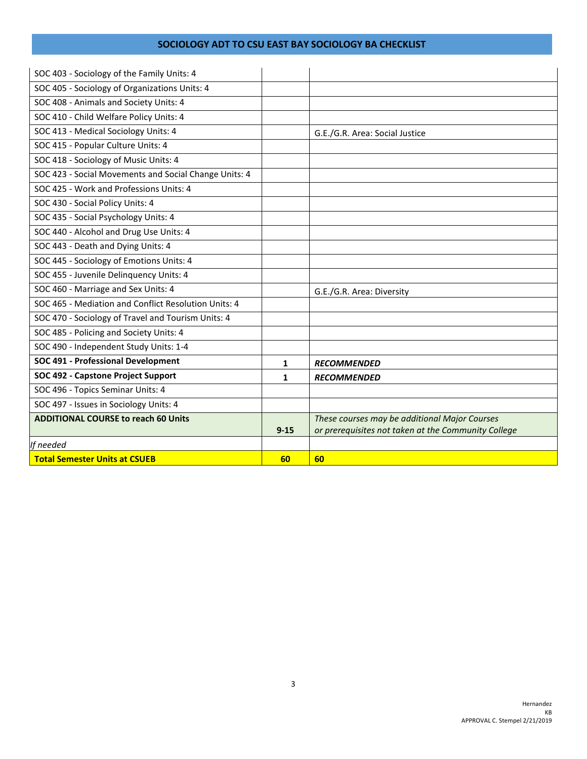| SOC 403 - Sociology of the Family Units: 4            |          |                                                     |
|-------------------------------------------------------|----------|-----------------------------------------------------|
| SOC 405 - Sociology of Organizations Units: 4         |          |                                                     |
| SOC 408 - Animals and Society Units: 4                |          |                                                     |
| SOC 410 - Child Welfare Policy Units: 4               |          |                                                     |
| SOC 413 - Medical Sociology Units: 4                  |          | G.E./G.R. Area: Social Justice                      |
| SOC 415 - Popular Culture Units: 4                    |          |                                                     |
| SOC 418 - Sociology of Music Units: 4                 |          |                                                     |
| SOC 423 - Social Movements and Social Change Units: 4 |          |                                                     |
| SOC 425 - Work and Professions Units: 4               |          |                                                     |
| SOC 430 - Social Policy Units: 4                      |          |                                                     |
| SOC 435 - Social Psychology Units: 4                  |          |                                                     |
| SOC 440 - Alcohol and Drug Use Units: 4               |          |                                                     |
| SOC 443 - Death and Dying Units: 4                    |          |                                                     |
| SOC 445 - Sociology of Emotions Units: 4              |          |                                                     |
| SOC 455 - Juvenile Delinquency Units: 4               |          |                                                     |
| SOC 460 - Marriage and Sex Units: 4                   |          | G.E./G.R. Area: Diversity                           |
| SOC 465 - Mediation and Conflict Resolution Units: 4  |          |                                                     |
| SOC 470 - Sociology of Travel and Tourism Units: 4    |          |                                                     |
| SOC 485 - Policing and Society Units: 4               |          |                                                     |
| SOC 490 - Independent Study Units: 1-4                |          |                                                     |
| SOC 491 - Professional Development                    | 1        | <b>RECOMMENDED</b>                                  |
| SOC 492 - Capstone Project Support                    | 1        | <b>RECOMMENDED</b>                                  |
| SOC 496 - Topics Seminar Units: 4                     |          |                                                     |
| SOC 497 - Issues in Sociology Units: 4                |          |                                                     |
| <b>ADDITIONAL COURSE to reach 60 Units</b>            |          | These courses may be additional Major Courses       |
|                                                       | $9 - 15$ | or prerequisites not taken at the Community College |
| If needed                                             |          |                                                     |
| <b>Total Semester Units at CSUEB</b>                  | 60       | 60                                                  |